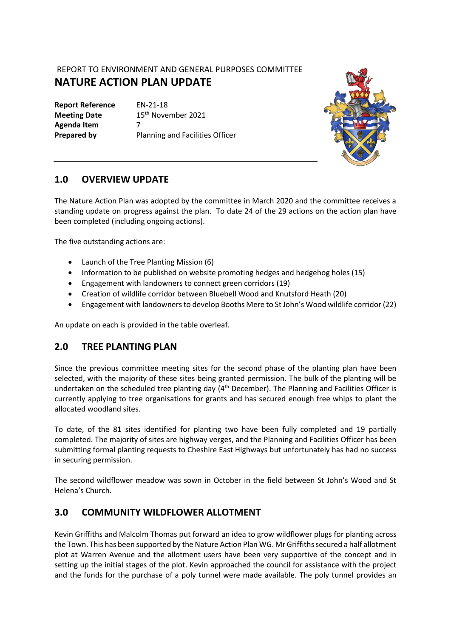## REPORT TO ENVIRONMENT AND GENERAL PURPOSES COMMITTEE **NATURE ACTION PLAN UPDATE**

**Report Reference** EN-21-18 **Agenda Item** 7

**Meeting Date** 15<sup>th</sup> November 2021 **Prepared by** Planning and Facilities Officer



### **1.0 OVERVIEW UPDATE**

The Nature Action Plan was adopted by the committee in March 2020 and the committee receives a standing update on progress against the plan. To date 24 of the 29 actions on the action plan have been completed (including ongoing actions).

The five outstanding actions are:

- Launch of the Tree Planting Mission (6)
- Information to be published on website promoting hedges and hedgehog holes (15)
- Engagement with landowners to connect green corridors (19)
- Creation of wildlife corridor between Bluebell Wood and Knutsford Heath (20)
- Engagement with landowners to develop Booths Mere to St John's Wood wildlife corridor (22)

An update on each is provided in the table overleaf.

#### **2.0 TREE PLANTING PLAN**

Since the previous committee meeting sites for the second phase of the planting plan have been selected, with the majority of these sites being granted permission. The bulk of the planting will be undertaken on the scheduled tree planting day (4<sup>th</sup> December). The Planning and Facilities Officer is currently applying to tree organisations for grants and has secured enough free whips to plant the allocated woodland sites.

To date, of the 81 sites identified for planting two have been fully completed and 19 partially completed. The majority of sites are highway verges, and the Planning and Facilities Officer has been submitting formal planting requests to Cheshire East Highways but unfortunately has had no success in securing permission.

The second wildflower meadow was sown in October in the field between St John's Wood and St Helena's Church.

# **3.0 COMMUNITY WILDFLOWER ALLOTMENT**

Kevin Griffiths and Malcolm Thomas put forward an idea to grow wildflower plugs for planting across the Town. This has been supported by the Nature Action Plan WG. Mr Griffiths secured a half allotment plot at Warren Avenue and the allotment users have been very supportive of the concept and in setting up the initial stages of the plot. Kevin approached the council for assistance with the project and the funds for the purchase of a poly tunnel were made available. The poly tunnel provides an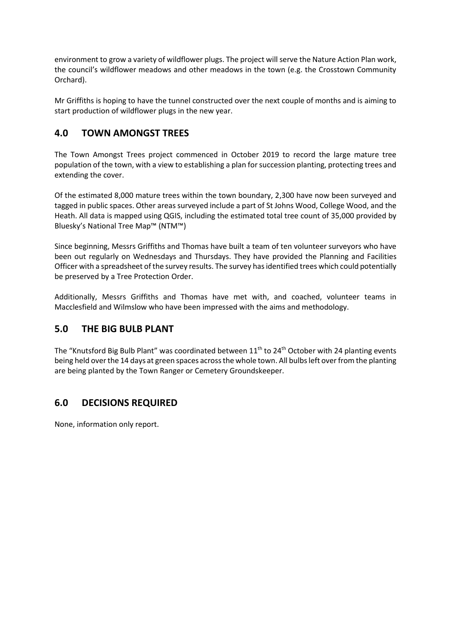environment to grow a variety of wildflower plugs. The project will serve the Nature Action Plan work, the council's wildflower meadows and other meadows in the town (e.g. the Crosstown Community Orchard).

Mr Griffiths is hoping to have the tunnel constructed over the next couple of months and is aiming to start production of wildflower plugs in the new year.

## **4.0 TOWN AMONGST TREES**

The Town Amongst Trees project commenced in October 2019 to record the large mature tree population of the town, with a view to establishing a plan for succession planting, protecting trees and extending the cover.

Of the estimated 8,000 mature trees within the town boundary, 2,300 have now been surveyed and tagged in public spaces. Other areas surveyed include a part of St Johns Wood, College Wood, and the Heath. All data is mapped using QGIS, including the estimated total tree count of 35,000 provided by Bluesky's National Tree Map™ (NTM™)

Since beginning, Messrs Griffiths and Thomas have built a team of ten volunteer surveyors who have been out regularly on Wednesdays and Thursdays. They have provided the Planning and Facilities Officer with a spreadsheet of the survey results. The survey hasidentified trees which could potentially be preserved by a Tree Protection Order.

Additionally, Messrs Griffiths and Thomas have met with, and coached, volunteer teams in Macclesfield and Wilmslow who have been impressed with the aims and methodology.

#### **5.0 THE BIG BULB PLANT**

The "Knutsford Big Bulb Plant" was coordinated between  $11<sup>th</sup>$  to  $24<sup>th</sup>$  October with 24 planting events being held over the 14 days at green spaces across the whole town. All bulbs left over from the planting are being planted by the Town Ranger or Cemetery Groundskeeper.

# **6.0 DECISIONS REQUIRED**

None, information only report.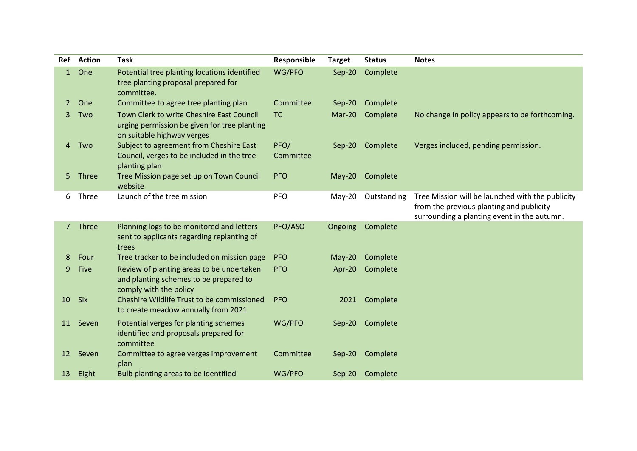| Ref         | <b>Action</b> | <b>Task</b>                                                                                                             | Responsible       | <b>Target</b> | <b>Status</b> | <b>Notes</b>                                                                                                                                |
|-------------|---------------|-------------------------------------------------------------------------------------------------------------------------|-------------------|---------------|---------------|---------------------------------------------------------------------------------------------------------------------------------------------|
| 1           | One           | Potential tree planting locations identified<br>tree planting proposal prepared for<br>committee.                       | WG/PFO            | $Sep-20$      | Complete      |                                                                                                                                             |
| 2           | One           | Committee to agree tree planting plan                                                                                   | Committee         | $Sep-20$      | Complete      |                                                                                                                                             |
| 3           | Two           | Town Clerk to write Cheshire East Council<br>urging permission be given for tree planting<br>on suitable highway verges | <b>TC</b>         | Mar-20        | Complete      | No change in policy appears to be forthcoming.                                                                                              |
| 4           | Two           | Subject to agreement from Cheshire East<br>Council, verges to be included in the tree<br>planting plan                  | PFO/<br>Committee | $Sep-20$      | Complete      | Verges included, pending permission.                                                                                                        |
| 5.          | Three         | Tree Mission page set up on Town Council<br>website                                                                     | <b>PFO</b>        | $May-20$      | Complete      |                                                                                                                                             |
| 6           | Three         | Launch of the tree mission                                                                                              | <b>PFO</b>        | May-20        | Outstanding   | Tree Mission will be launched with the publicity<br>from the previous planting and publicity<br>surrounding a planting event in the autumn. |
| $7^{\circ}$ | Three         | Planning logs to be monitored and letters<br>sent to applicants regarding replanting of<br>trees                        | PFO/ASO           | Ongoing       | Complete      |                                                                                                                                             |
| 8           | Four          | Tree tracker to be included on mission page                                                                             | <b>PFO</b>        | $May-20$      | Complete      |                                                                                                                                             |
| 9           | <b>Five</b>   | Review of planting areas to be undertaken<br>and planting schemes to be prepared to<br>comply with the policy           | <b>PFO</b>        | Apr-20        | Complete      |                                                                                                                                             |
| 10          | <b>Six</b>    | Cheshire Wildlife Trust to be commissioned<br>to create meadow annually from 2021                                       | <b>PFO</b>        | 2021          | Complete      |                                                                                                                                             |
| 11          | Seven         | Potential verges for planting schemes<br>identified and proposals prepared for<br>committee                             | WG/PFO            | $Sep-20$      | Complete      |                                                                                                                                             |
| 12          | Seven         | Committee to agree verges improvement<br>plan                                                                           | Committee         | $Sep-20$      | Complete      |                                                                                                                                             |
| 13          | Eight         | Bulb planting areas to be identified                                                                                    | WG/PFO            | $Sep-20$      | Complete      |                                                                                                                                             |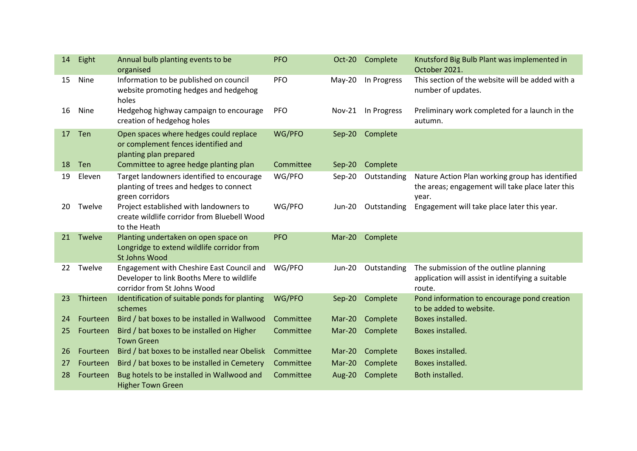| 14 | Eight    | Annual bulb planting events to be<br>organised                                                                        | <b>PFO</b> | Oct-20        | Complete    | Knutsford Big Bulb Plant was implemented in<br>October 2021.                                                 |
|----|----------|-----------------------------------------------------------------------------------------------------------------------|------------|---------------|-------------|--------------------------------------------------------------------------------------------------------------|
| 15 | Nine     | Information to be published on council<br>website promoting hedges and hedgehog<br>holes                              | <b>PFO</b> | $May-20$      | In Progress | This section of the website will be added with a<br>number of updates.                                       |
| 16 | Nine     | Hedgehog highway campaign to encourage<br>creation of hedgehog holes                                                  | <b>PFO</b> | <b>Nov-21</b> | In Progress | Preliminary work completed for a launch in the<br>autumn.                                                    |
| 17 | Ten      | Open spaces where hedges could replace<br>or complement fences identified and<br>planting plan prepared               | WG/PFO     | $Sep-20$      | Complete    |                                                                                                              |
| 18 | Ten      | Committee to agree hedge planting plan                                                                                | Committee  | Sep-20        | Complete    |                                                                                                              |
| 19 | Eleven   | Target landowners identified to encourage<br>planting of trees and hedges to connect<br>green corridors               | WG/PFO     | $Sep-20$      | Outstanding | Nature Action Plan working group has identified<br>the areas; engagement will take place later this<br>year. |
| 20 | Twelve   | Project established with landowners to<br>create wildlife corridor from Bluebell Wood<br>to the Heath                 | WG/PFO     | <b>Jun-20</b> | Outstanding | Engagement will take place later this year.                                                                  |
| 21 | Twelve   | Planting undertaken on open space on<br>Longridge to extend wildlife corridor from<br><b>St Johns Wood</b>            | PFO        | Mar-20        | Complete    |                                                                                                              |
| 22 | Twelve   | Engagement with Cheshire East Council and<br>Developer to link Booths Mere to wildlife<br>corridor from St Johns Wood | WG/PFO     | <b>Jun-20</b> | Outstanding | The submission of the outline planning<br>application will assist in identifying a suitable<br>route.        |
| 23 | Thirteen | Identification of suitable ponds for planting                                                                         | WG/PFO     | $Sep-20$      | Complete    | Pond information to encourage pond creation                                                                  |
|    |          | schemes                                                                                                               |            |               |             | to be added to website.                                                                                      |
| 24 | Fourteen | Bird / bat boxes to be installed in Wallwood                                                                          | Committee  | $Mar-20$      | Complete    | Boxes installed.                                                                                             |
| 25 | Fourteen | Bird / bat boxes to be installed on Higher<br><b>Town Green</b>                                                       | Committee  | Mar-20        | Complete    | Boxes installed.                                                                                             |
| 26 | Fourteen | Bird / bat boxes to be installed near Obelisk                                                                         | Committee  | Mar-20        | Complete    | Boxes installed.                                                                                             |
| 27 | Fourteen | Bird / bat boxes to be installed in Cemetery                                                                          | Committee  | $Mar-20$      | Complete    | Boxes installed.                                                                                             |
| 28 | Fourteen | Bug hotels to be installed in Wallwood and<br><b>Higher Town Green</b>                                                | Committee  | Aug-20        | Complete    | Both installed.                                                                                              |